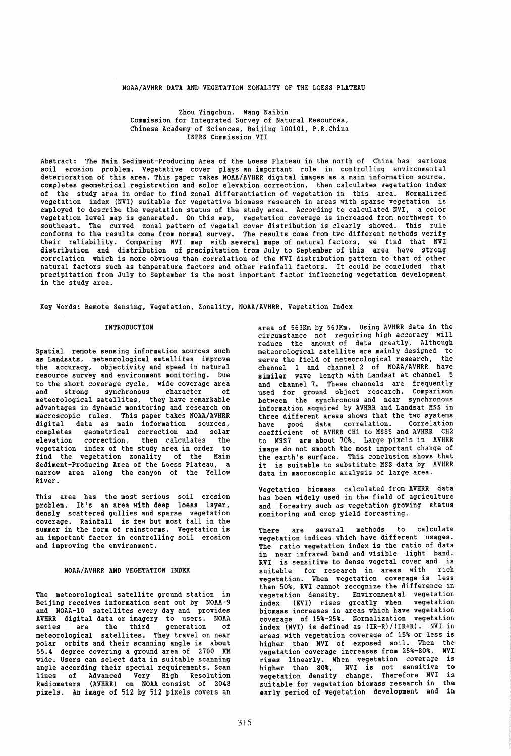### NOAA/AVHRR DATA AND VEGETATION ZONALITY OF THE LOESS PLATEAU

### Zhou Yingchun, Wang Naibin Commission for Integrated Survey of Natural Resources, Chinese Academy of Sciences, Beijing 100101, P.R.China ISPRS Commission VII

Abstract: The Main Sediment-Producing Area of the Loess Plateau in the north of China has serious soil erosion problem. Vegetative cover plays an important role in controlling environmental deterioration of this area. This paper takes NOAA/AVHRR digital images as a main information source, completes geometrical registration and solor elevation correction, then calculates vegetation index of the study area in order to find zonal differentiation of vegetation in this area. Normalized vegetation index (NVI) suitable for vegetative biomass research in areas with sparse vegetation is employed to describe the vegetation status of the study area. According to calculated NVI, a color vegetation level map is generated. On this map, vegetation coverage is increased from northwest to southeast. The curved zonal pattern of vegetal cover distribution is clearly showed. This rule conforms to the results come from normal survey. The results come from two different methods verify their reliability. Comparing NVI map with several maps of natural factors, we find that NVI distribution and distribution of precipitation from July to September of this area have strong correlation which is more obvious than correlation of the NVI distribution pattern to that of other natural factors such as temperature factors and other rainfall factors. It could be concluded that precipitation from July to September is the most important factor influencing vegetation development in the study area.

Key Words: Remote Sensing, Vegetation, Zonality, NOAA/AVHRR, Vegetation Index

#### INTRODUCTION

Spatial remote sensing information sources such<br>as Landsats, meteorological satellites improve<br>the accuracy, objectivity and speed in natural resource survey and environment monitoring. Due to the short coverage cycle, wide coverage area and strong synchronous character of meteorological satellites, they have remarkable<br>advantages in dynamic monitoring and research on advantages in dynamic monitoring and research on macroscopic rules. This paper takes NOAA/AVHRR digital data as main information sources, completes geometrical correction and solar elevation correction, then calculates the vegetation index of the study area in order to find the vegetation zonality of the Main<br>Sediment-Producing Area of the Loess Plateau, a narrow area along the canyon of the Yellow River.

This area has the most serious soil erosion problem. It's an area with deep loess layer, densly scattered gullies and sparse vegetation coverage. Rainfall is few but most fall in the summer in the form of rainstorms. Vegetation is an important factor in controlling soil erosion and improving the environment.

# NOAA/AVHRR AND VEGETATION INDEX

The meteorological satellite ground station in Beijing receives information sent out by NOAA-9 and NOAA-10 satellites every day and provides AVHRR digital data or imagery to users. NOAA series are the third generation of meteorological satellites. They travel on near polar orbits and their scanning angle is about 55.4 degree covering a ground area of 2700 KM wide. Users can select data in suitable scanning angle according their special requirements. Scan lines of Advanced Very High Resolution Radiometers (AVHRR) on NOAA consist of 2048 pixels. An image of 512 by 512 pixels covers an

area of 563Km by 563Km. Using AVHRR data in the circumstance not requiring high accuracy will reduce the amount of data greatly. Although<br>meteorological satellite are mainly designed to meteorological satellite are mainly designed to serve the field of meteorological research, the channel 1 and channel 2 of NOAA/AVHRR have similar wave length with Landsat at channel 5 and channel 7. These channels are frequently used for ground object research. Comparison between the synchronous and near synchronous information acquired by AVHRR and Landsat MSS in three different areas shows that the two systems have good data correlation. Correlation coefficient of AVHRR CH1 to MSS5 and AVHRR CH2 to MSS7 are about 70%. Large pixels in AVHRR image do not smooth the most important change of the earth's surface. This conclusion shows that it is suitable to substitute MSS data by AVHRR data in macroscopic analysis of large area.

Vegetation biomass calculated from AVHRR data has been widely used in the field of agriculture and forestry such as vegetation growing status monitoring and crop yield forcasting.

There are several methods to calculate vegetation indices which have different usages. The ratio vegetation index is the ratio of data in near infrared band and visible light band. RVI is sensitive to dense vegetal cover and is suitable for research in areas with rich vegetation. When vegetation coverage is less than 50%, RVI cannot recognize the difference in vegetation density. Environmental vegetation index (EVI) rises greatly when vegetation biomass increases in areas which have vegetation coverage of 15%-25%. Normalization vegetation index (NVI) is defined as (IR-R)/(IR+R). NVI in areas with vegetation coverage of 15% or less is higher than NVI of exposed soil. When the vegetation coverage increases from 25%-80%, NVI rises linearly. When vegetation coverage is higher than 80%, NVI is not sensitive to vegetation density change. Therefore NVI is suitable for vegetation biomass research in the early period of vegetation development and in